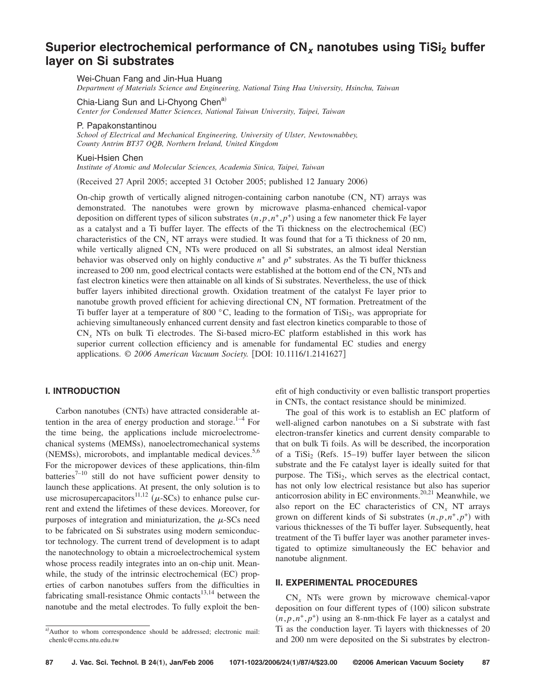# **Superior electrochemical performance of CN<sub>x</sub> nanotubes using TiSi<sub>2</sub> buffer layer on Si substrates**

Wei-Chuan Fang and Jin-Hua Huang

*Department of Materials Science and Engineering, National Tsing Hua University, Hsinchu, Taiwan*

Chia-Liang Sun and Li-Chyong Chen<sup>a)</sup>

*Center for Condensed Matter Sciences, National Taiwan University, Taipei, Taiwan*

P. Papakonstantinou

*School of Electrical and Mechanical Engineering, University of Ulster, Newtownabbey, County Antrim BT37 OQB, Northern Ireland, United Kingdom*

#### Kuei-Hsien Chen

*Institute of Atomic and Molecular Sciences, Academia Sinica, Taipei, Taiwan*

(Received 27 April 2005; accepted 31 October 2005; published 12 January 2006)

On-chip growth of vertically aligned nitrogen-containing carbon nanotube  $(CN_x NT)$  arrays was demonstrated. The nanotubes were grown by microwave plasma-enhanced chemical-vapor deposition on different types of silicon substrates  $(n, p, n^+, p^+)$  using a few nanometer thick Fe layer as a catalyst and a Ti buffer layer. The effects of the Ti thickness on the electrochemical (EC) characteristics of the CN*<sup>x</sup>* NT arrays were studied. It was found that for a Ti thickness of 20 nm, while vertically aligned CN<sub>x</sub> NTs were produced on all Si substrates, an almost ideal Nerstian behavior was observed only on highly conductive  $n^+$  and  $p^+$  substrates. As the Ti buffer thickness increased to 200 nm, good electrical contacts were established at the bottom end of the CN*<sup>x</sup>* NTs and fast electron kinetics were then attainable on all kinds of Si substrates. Nevertheless, the use of thick buffer layers inhibited directional growth. Oxidation treatment of the catalyst Fe layer prior to nanotube growth proved efficient for achieving directional CN*<sup>x</sup>* NT formation. Pretreatment of the Ti buffer layer at a temperature of 800  $^{\circ}$ C, leading to the formation of TiSi<sub>2</sub>, was appropriate for achieving simultaneously enhanced current density and fast electron kinetics comparable to those of CN*<sup>x</sup>* NTs on bulk Ti electrodes. The Si-based micro-EC platform established in this work has superior current collection efficiency and is amenable for fundamental EC studies and energy applications. © 2006 American Vacuum Society. [DOI: 10.1116/1.2141627]

## **I. INTRODUCTION**

Carbon nanotubes (CNTs) have attracted considerable attention in the area of energy production and storage. $1-4$  For the time being, the applications include microelectromechanical systems (MEMSs), nanoelectromechanical systems (NEMSs), microrobots, and implantable medical devices.<sup>5,6</sup> For the micropower devices of these applications, thin-film batteries $7-10$  still do not have sufficient power density to launch these applications. At present, the only solution is to use microsupercapacitors  $11,12$  ( $\mu$ -SCs) to enhance pulse current and extend the lifetimes of these devices. Moreover, for purposes of integration and miniaturization, the  $\mu$ -SCs need to be fabricated on Si substrates using modern semiconductor technology. The current trend of development is to adapt the nanotechnology to obtain a microelectrochemical system whose process readily integrates into an on-chip unit. Meanwhile, the study of the intrinsic electrochemical (EC) properties of carbon nanotubes suffers from the difficulties in fabricating small-resistance Ohmic contacts<sup>13,14</sup> between the nanotube and the metal electrodes. To fully exploit the benefit of high conductivity or even ballistic transport properties in CNTs, the contact resistance should be minimized.

The goal of this work is to establish an EC platform of well-aligned carbon nanotubes on a Si substrate with fast electron-transfer kinetics and current density comparable to that on bulk Ti foils. As will be described, the incorporation of a TiSi<sub>2</sub> (Refs. 15–19) buffer layer between the silicon substrate and the Fe catalyst layer is ideally suited for that purpose. The  $TiSi<sub>2</sub>$ , which serves as the electrical contact, has not only low electrical resistance but also has superior anticorrosion ability in EC environments.<sup>20,21</sup> Meanwhile, we also report on the EC characteristics of CN<sub>x</sub> NT arrays grown on different kinds of Si substrates  $(n, p, n^+, p^+)$  with various thicknesses of the Ti buffer layer. Subsequently, heat treatment of the Ti buffer layer was another parameter investigated to optimize simultaneously the EC behavior and nanotube alignment.

#### **II. EXPERIMENTAL PROCEDURES**

CN*<sup>x</sup>* NTs were grown by microwave chemical-vapor deposition on four different types of (100) silicon substrate  $(n, p, n^+, p^+)$  using an 8-nm-thick Fe layer as a catalyst and Ti as the conduction layer. Ti layers with thicknesses of 20 and 200 nm were deposited on the Si substrates by electron-

a) Author to whom correspondence should be addressed; electronic mail: chenlc@ccms.ntu.edu.tw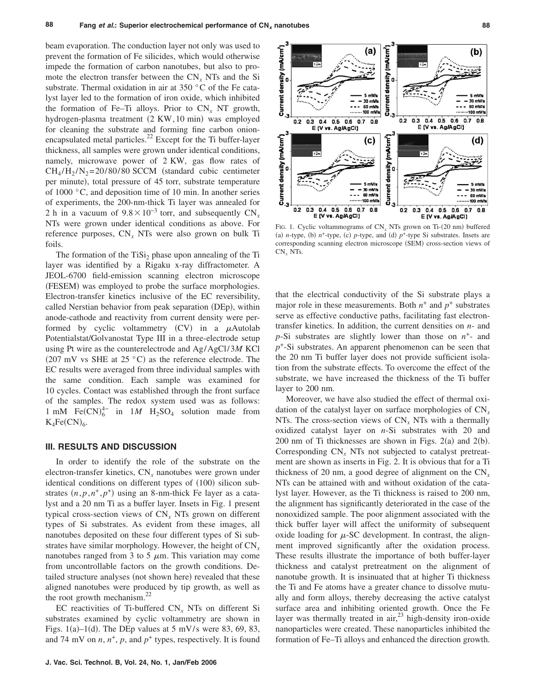beam evaporation. The conduction layer not only was used to prevent the formation of Fe silicides, which would otherwise impede the formation of carbon nanotubes, but also to promote the electron transfer between the CN*<sup>x</sup>* NTs and the Si substrate. Thermal oxidation in air at 350 °C of the Fe catalyst layer led to the formation of iron oxide, which inhibited the formation of Fe–Ti alloys. Prior to  $CN_r$  NT growth, hydrogen-plasma treatment (2 KW, 10 min) was employed for cleaning the substrate and forming fine carbon onionencapsulated metal particles.<sup>22</sup> Except for the Ti buffer-layer thickness, all samples were grown under identical conditions, namely, microwave power of 2 KW, gas flow rates of  $CH_4/H_2/N_2= 20/80/80$  SCCM (standard cubic centimeter per minute), total pressure of 45 torr, substrate temperature of 1000 °C, and deposition time of 10 min. In another series of experiments, the 200-nm-thick Ti layer was annealed for 2 h in a vacuum of  $9.8 \times 10^{-3}$  torr, and subsequently CN<sub>*x*</sub> NTs were grown under identical conditions as above. For reference purposes, CN*<sup>x</sup>* NTs were also grown on bulk Ti foils.

The formation of the  $TiSi<sub>2</sub>$  phase upon annealing of the Ti layer was identified by a Rigaku x-ray diffractometer. A JEOL-6700 field-emission scanning electron microscope (FESEM) was employed to probe the surface morphologies. Electron-transfer kinetics inclusive of the EC reversibility, called Nerstian behavior from peak separation (DEp), within anode-cathode and reactivity from current density were performed by cyclic voltammetry  $(CV)$  in a  $\mu$ Autolab Potentialstat/Golvanostat Type III in a three-electrode setup using Pt wire as the counterelectrode and Ag/AgCl/ 3*M* KCl (207 mV vs SHE at 25  $^{\circ}$ C) as the reference electrode. The EC results were averaged from three individual samples with the same condition. Each sample was examined for 10 cycles. Contact was established through the front surface of the samples. The redox system used was as follows: 1 mM Fe(CN) $_6^{4-}$  in 1*M* H<sub>2</sub>SO<sub>4</sub> solution made from  $K_4Fe(CN)_6.$ 

## **III. RESULTS AND DISCUSSION**

In order to identify the role of the substrate on the electron-transfer kinetics, CN<sub>x</sub> nanotubes were grown under identical conditions on different types of (100) silicon substrates  $(n, p, n^+, p^+)$  using an 8-nm-thick Fe layer as a catalyst and a 20 nm Ti as a buffer layer. Insets in Fig. 1 present typical cross-section views of CN*<sup>x</sup>* NTs grown on different types of Si substrates. As evident from these images, all nanotubes deposited on these four different types of Si substrates have similar morphology. However, the height of CN*<sup>x</sup>* nanotubes ranged from 3 to 5  $\mu$ m. This variation may come from uncontrollable factors on the growth conditions. Detailed structure analyses (not shown here) revealed that these aligned nanotubes were produced by tip growth, as well as the root growth mechanism. $^{22}$ 

EC reactivities of Ti-buffered CN*<sup>x</sup>* NTs on different Si substrates examined by cyclic voltammetry are shown in Figs.  $1(a) - 1(d)$ . The DEp values at 5 mV/s were 83, 69, 83, and 74 mV on  $n, n^+, p$ , and  $p^+$  types, respectively. It is found



FIG. 1. Cyclic voltammograms of  $CN_x$  NTs grown on Ti-(20 nm) buffered (a) *n*-type, (b)  $n^+$ -type, (c) *p*-type, and (d)  $p^+$ -type Si substrates. Insets are corresponding scanning electron microscope (SEM) cross-section views of CN*<sup>x</sup>* NTs.

that the electrical conductivity of the Si substrate plays a major role in these measurements. Both  $n^+$  and  $p^+$  substrates serve as effective conductive paths, facilitating fast electrontransfer kinetics. In addition, the current densities on *n*- and  $p$ -Si substrates are slightly lower than those on  $n^+$ - and *p*+-Si substrates. An apparent phenomenon can be seen that the 20 nm Ti buffer layer does not provide sufficient isolation from the substrate effects. To overcome the effect of the substrate, we have increased the thickness of the Ti buffer layer to 200 nm.

Moreover, we have also studied the effect of thermal oxidation of the catalyst layer on surface morphologies of CN*<sup>x</sup>* NTs. The cross-section views of CN*<sup>x</sup>* NTs with a thermally oxidized catalyst layer on *n*-Si substrates with 20 and  $200$  nm of Ti thicknesses are shown in Figs.  $2(a)$  and  $2(b)$ . Corresponding CN<sub>x</sub> NTs not subjected to catalyst pretreatment are shown as inserts in Fig. 2. It is obvious that for a Ti thickness of 20 nm, a good degree of alignment on the CN*<sup>x</sup>* NTs can be attained with and without oxidation of the catalyst layer. However, as the Ti thickness is raised to 200 nm, the alignment has significantly deteriorated in the case of the nonoxidized sample. The poor alignment associated with the thick buffer layer will affect the uniformity of subsequent oxide loading for  $\mu$ -SC development. In contrast, the alignment improved significantly after the oxidation process. These results illustrate the importance of both buffer-layer thickness and catalyst pretreatment on the alignment of nanotube growth. It is insinuated that at higher Ti thickness the Ti and Fe atoms have a greater chance to dissolve mutually and form alloys, thereby decreasing the active catalyst surface area and inhibiting oriented growth. Once the Fe layer was thermally treated in  $air<sub>1</sub><sup>23</sup>$  high-density iron-oxide nanoparticles were created. These nanoparticles inhibited the formation of Fe–Ti alloys and enhanced the direction growth.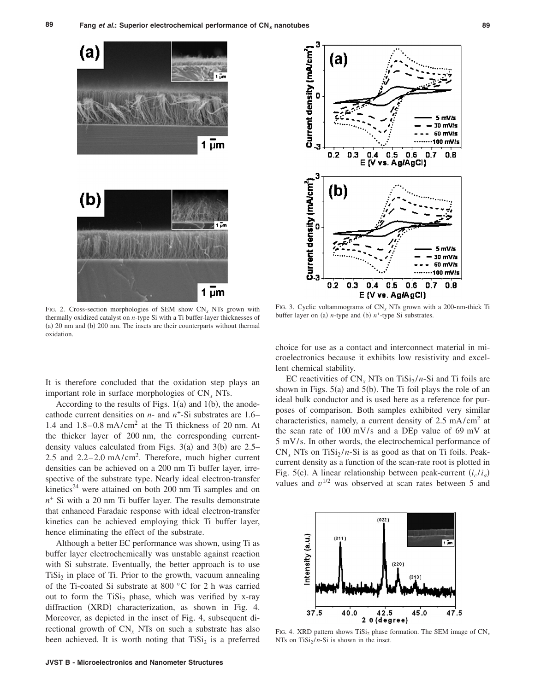



FIG. 2. Cross-section morphologies of SEM show CN*<sup>x</sup>* NTs grown with thermally oxidized catalyst on *n*-type Si with a Ti buffer-layer thicknesses of (a) 20 nm and (b) 200 nm. The insets are their counterparts without thermal oxidation.

FIG. 3. Cyclic voltammograms of CN*<sup>x</sup>* NTs grown with a 200-nm-thick Ti buffer layer on (a) *n*-type and (b)  $n^+$ -type Si substrates.

It is therefore concluded that the oxidation step plays an important role in surface morphologies of CN*<sup>x</sup>* NTs.

According to the results of Figs.  $1(a)$  and  $1(b)$ , the anodecathode current densities on *n*- and *n*+-Si substrates are 1.6– 1.4 and  $1.8-0.8$  mA/cm<sup>2</sup> at the Ti thickness of 20 nm. At the thicker layer of 200 nm, the corresponding currentdensity values calculated from Figs.  $3(a)$  and  $3(b)$  are 2.5– 2.5 and  $2.2 - 2.0$  mA/cm<sup>2</sup>. Therefore, much higher current densities can be achieved on a 200 nm Ti buffer layer, irrespective of the substrate type. Nearly ideal electron-transfer kinetics<sup>24</sup> were attained on both 200 nm Ti samples and on  $n<sup>+</sup>$  Si with a 20 nm Ti buffer layer. The results demonstrate that enhanced Faradaic response with ideal electron-transfer kinetics can be achieved employing thick Ti buffer layer, hence eliminating the effect of the substrate.

Although a better EC performance was shown, using Ti as buffer layer electrochemically was unstable against reaction with Si substrate. Eventually, the better approach is to use  $TiSi<sub>2</sub>$  in place of Ti. Prior to the growth, vacuum annealing of the Ti-coated Si substrate at 800 °C for 2 h was carried out to form the TiSi<sub>2</sub> phase, which was verified by x-ray diffraction (XRD) characterization, as shown in Fig. 4. Moreover, as depicted in the inset of Fig. 4, subsequent directional growth of CN*<sup>x</sup>* NTs on such a substrate has also been achieved. It is worth noting that  $TiSi<sub>2</sub>$  is a preferred choice for use as a contact and interconnect material in microelectronics because it exhibits low resistivity and excellent chemical stability.

EC reactivities of  $CN_r$  NTs on TiSi<sub>2</sub>/n-Si and Ti foils are shown in Figs. 5(a) and 5(b). The Ti foil plays the role of an ideal bulk conductor and is used here as a reference for purposes of comparison. Both samples exhibited very similar characteristics, namely, a current density of 2.5 mA/cm2 at the scan rate of  $100 \text{ mV/s}$  and a DEp value of 69 mV at 5 mV/s. In other words, the electrochemical performance of  $CN_x$  NTs on TiSi<sub>2</sub>/n-Si is as good as that on Ti foils. Peakcurrent density as a function of the scan-rate root is plotted in Fig. 5(c). A linear relationship between peak-current  $(i_c/i_a)$ values and  $v^{1/2}$  was observed at scan rates between 5 and



FIG. 4. XRD pattern shows TiSi<sub>2</sub> phase formation. The SEM image of CN<sub>*x</sub>*</sub> NTs on  $TiSi<sub>2</sub>/n-Si$  is shown in the inset.